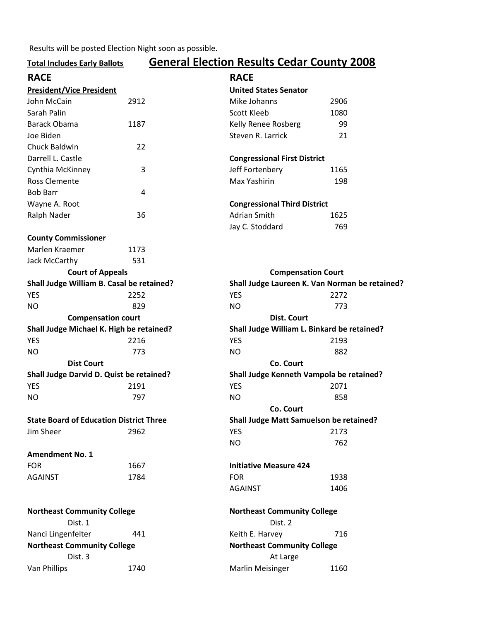Results will be posted Election Night soon as possible.

## Total Includes Early Ballots General Election Results Cedar County 2008

| <b>RACE</b>                                          |      | <b>RACE</b>                                    |                                          |  |  |
|------------------------------------------------------|------|------------------------------------------------|------------------------------------------|--|--|
| <b>President/Vice President</b>                      |      | <b>United States Senator</b>                   |                                          |  |  |
| John McCain                                          | 2912 | Mike Johanns                                   | 2906                                     |  |  |
| Sarah Palin                                          |      | <b>Scott Kleeb</b>                             | 1080                                     |  |  |
| <b>Barack Obama</b>                                  | 1187 | Kelly Renee Rosberg                            | 99                                       |  |  |
| Joe Biden                                            |      | Steven R. Larrick                              | 21                                       |  |  |
| Chuck Baldwin                                        | 22   |                                                |                                          |  |  |
| Darrell L. Castle                                    |      |                                                | <b>Congressional First District</b>      |  |  |
| Cynthia McKinney                                     | 3    | Jeff Fortenbery                                | 1165                                     |  |  |
| <b>Ross Clemente</b>                                 |      | Max Yashirin                                   | 198                                      |  |  |
| <b>Bob Barr</b>                                      | 4    |                                                |                                          |  |  |
| Wayne A. Root                                        |      |                                                | <b>Congressional Third District</b>      |  |  |
| Ralph Nader                                          | 36   |                                                | Adrian Smith<br>1625                     |  |  |
|                                                      |      | Jay C. Stoddard                                | 769                                      |  |  |
| <b>County Commissioner</b>                           |      |                                                |                                          |  |  |
| Marlen Kraemer                                       | 1173 |                                                |                                          |  |  |
| Jack McCarthy                                        | 531  |                                                |                                          |  |  |
| <b>Court of Appeals</b><br><b>Compensation Court</b> |      |                                                |                                          |  |  |
| Shall Judge William B. Casal be retained?            |      | Shall Judge Laureen K. Van Norman be retained? |                                          |  |  |
| <b>YES</b>                                           | 2252 | <b>YES</b>                                     | 2272                                     |  |  |
| <b>NO</b>                                            | 829  | <b>NO</b>                                      | 773                                      |  |  |
| <b>Compensation court</b>                            |      | <b>Dist. Court</b>                             |                                          |  |  |
| Shall Judge Michael K. High be retained?             |      | Shall Judge William L. Binkard be retained?    |                                          |  |  |
| <b>YES</b>                                           | 2216 | <b>YES</b>                                     | 2193                                     |  |  |
| <b>NO</b>                                            | 773  | <b>NO</b>                                      | 882                                      |  |  |
| <b>Dist Court</b>                                    |      | Co. Court                                      |                                          |  |  |
| Shall Judge Darvid D. Quist be retained?             |      |                                                | Shall Judge Kenneth Vampola be retained? |  |  |
| <b>YES</b>                                           | 2191 | <b>YES</b>                                     | 2071                                     |  |  |
| <b>NO</b>                                            | 797  | <b>NO</b>                                      | 858                                      |  |  |
|                                                      |      | Co. Court                                      |                                          |  |  |
| <b>State Board of Education District Three</b>       |      | Shall Judge Matt Samuelson be retained?        |                                          |  |  |
| Jim Sheer                                            | 2962 | <b>YES</b>                                     | 2173                                     |  |  |
|                                                      |      | <b>NO</b>                                      | 762                                      |  |  |
| <b>Amendment No. 1</b>                               |      |                                                |                                          |  |  |
| <b>FOR</b>                                           | 1667 | <b>Initiative Measure 424</b>                  |                                          |  |  |
| <b>AGAINST</b>                                       | 1784 | <b>FOR</b>                                     | 1938                                     |  |  |
|                                                      |      | <b>AGAINST</b>                                 | 1406                                     |  |  |
|                                                      |      |                                                |                                          |  |  |
| <b>Northeast Community College</b>                   |      | <b>Northeast Community College</b>             |                                          |  |  |
| Dist. 1                                              |      |                                                | Dist. 2                                  |  |  |
| Nanci Lingenfelter                                   | 441  | Keith E. Harvey                                | 716                                      |  |  |
| <b>Northeast Community College</b>                   |      | <b>Northeast Community College</b>             |                                          |  |  |
| Dist. 3                                              |      | At Large                                       |                                          |  |  |
| Van Phillips                                         | 1740 | <b>Marlin Meisinger</b>                        | 1160                                     |  |  |
|                                                      |      |                                                |                                          |  |  |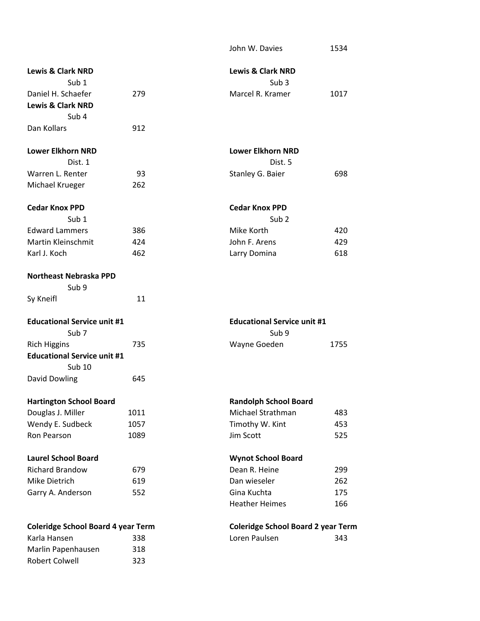|                                                     |      | John W. Davies                            | 1534 |
|-----------------------------------------------------|------|-------------------------------------------|------|
| <b>Lewis &amp; Clark NRD</b>                        |      | <b>Lewis &amp; Clark NRD</b>              |      |
| Sub $1$                                             |      | Sub <sub>3</sub>                          |      |
| Daniel H. Schaefer                                  | 279  | Marcel R. Kramer                          | 1017 |
| <b>Lewis &amp; Clark NRD</b>                        |      |                                           |      |
| Sub <sub>4</sub>                                    |      |                                           |      |
| Dan Kollars                                         | 912  |                                           |      |
| <b>Lower Elkhorn NRD</b>                            |      | <b>Lower Elkhorn NRD</b>                  |      |
| Dist. 1                                             |      | Dist. 5                                   |      |
| Warren L. Renter                                    | 93   | Stanley G. Baier                          | 698  |
| Michael Krueger                                     | 262  |                                           |      |
| <b>Cedar Knox PPD</b>                               |      | <b>Cedar Knox PPD</b>                     |      |
| Sub <sub>1</sub>                                    |      | Sub <sub>2</sub>                          |      |
| <b>Edward Lammers</b>                               | 386  | Mike Korth                                | 420  |
| Martin Kleinschmit                                  | 424  | John F. Arens                             | 429  |
| Karl J. Koch                                        | 462  | Larry Domina                              | 618  |
| <b>Northeast Nebraska PPD</b>                       |      |                                           |      |
| Sub <sub>9</sub>                                    |      |                                           |      |
| Sy Kneifl                                           | 11   |                                           |      |
| <b>Educational Service unit #1</b>                  |      | <b>Educational Service unit #1</b>        |      |
| Sub <sub>7</sub>                                    |      | Sub 9                                     |      |
| <b>Rich Higgins</b>                                 | 735  | Wayne Goeden                              | 1755 |
| <b>Educational Service unit #1</b><br><b>Sub 10</b> |      |                                           |      |
| David Dowling                                       | 645  |                                           |      |
| <b>Hartington School Board</b>                      |      | <b>Randolph School Board</b>              |      |
| Douglas J. Miller                                   | 1011 | Michael Strathman                         | 483  |
| Wendy E. Sudbeck                                    | 1057 | Timothy W. Kint                           | 453  |
| Ron Pearson                                         | 1089 | Jim Scott                                 | 525  |
| <b>Laurel School Board</b>                          |      | <b>Wynot School Board</b>                 |      |
| <b>Richard Brandow</b>                              | 679  | Dean R. Heine                             | 299  |
| Mike Dietrich                                       | 619  | Dan wieseler                              | 262  |
| Garry A. Anderson                                   | 552  | Gina Kuchta                               | 175  |
|                                                     |      | <b>Heather Heimes</b>                     | 166  |
| <b>Coleridge School Board 4 year Term</b>           |      | <b>Coleridge School Board 2 year Term</b> |      |
| Karla Hansen                                        | 338  | Loren Paulsen                             | 343  |
| Marlin Papenhausen                                  | 318  |                                           |      |
| Robert Colwell                                      | 323  |                                           |      |